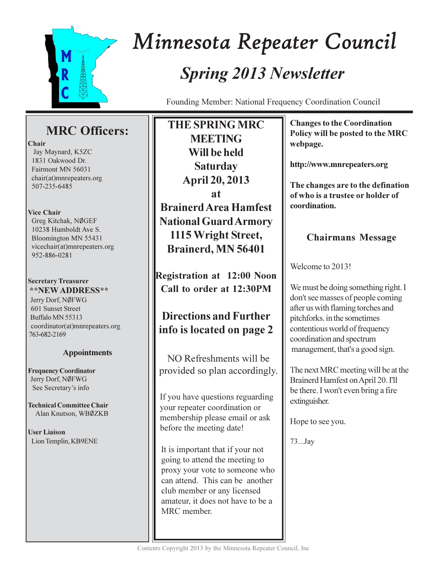

# Minnesota Repeater Council **Spring 2013 Newsletter**

Founding Member: National Frequency Coordination Council

# **MRC** Officers:

#### Chair

Jay Maynard, K5ZC 1831 Oakwood Dr. Fairmont MN 56031 chair(at)mnrepeaters.org 507-235-6485

#### **Vice Chair**

Greg Kitchak, NØGEF 10238 Humboldt Ave S. Bloomington MN 55431 vicechair(at)mnrepeaters.org 952-886-0281

#### **Secretary Treasurer \*\*NEW ADDRESS\*\***

Jerry Dorf, NØFWG 601 Sunset Street Buffalo MN 55313 coordinator(at)mnrepeaters.org 763-682-2169

## **Appointments**

**Frequency Coordinator** Jerry Dorf, NØFWG See Secretary's info

**Technical Committee Chair** Alan Knutson, WBØZKB

**User Liaison** Lion Templin, KB9ENE

**THE SPRING MRC MEETING** Will be held **Saturday April 20, 2013 at Brainerd Area Hamfest National Guard Armory** 1115 Wright Street, Brainerd, MN 56401

**Registration at 12:00 Noon** Call to order at 12:30PM

# **Directions and Further** info is located on page 2

NO Refreshments will be provided so plan accordingly.

If you have questions reguarding your repeater coordination or membership please email or ask before the meeting date!

It is important that if your not going to attend the meeting to proxy your vote to someone who can attend. This can be another club member or any licensed amateur, it does not have to be a MRC member.

**Changes to the Coordination** Policy will be posted to the MRC webpage.

http://www.mnrepeaters.org

The changes are to the defination of who is a trustee or holder of coordination.

## **Chairmans Message**

Welcome to 2013!

We must be doing something right. I don't see masses of people coming after us with flaming torches and pitchforks, in the sometimes contentious world of frequency coordination and spectrum management, that's a good sign.

The next MRC meeting will be at the Brainerd Hamfest on April 20. I'll be there. I won't even bring a fire extinguisher.

Hope to see you.

73...Jay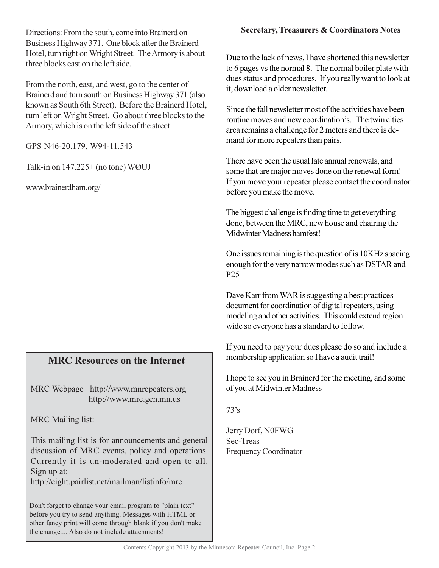Directions: From the south, come into Brainerd on Business Highway 371. One block after the Brainerd Hotel, turn right on Wright Street. The Armory is about three blocks east on the left side.

From the north, east, and west, go to the center of Brainerd and turn south on Business Highway 371 (also known as South 6th Street). Before the Brainerd Hotel, turn left on Wright Street. Go about three blocks to the Armory, which is on the left side of the street.

GPS N46-20.179, W94-11.543

Talk-in on  $147.225+$  (no tone) WØUJ

www.brainerdham.org/

## **MRC Resources on the Internet**

MRC Webpage http://www.mnrepeaters.org http://www.mrc.gen.mn.us

**MRC** Mailing list:

This mailing list is for announcements and general discussion of MRC events, policy and operations. Currently it is un-moderated and open to all. Sign up at:

http://eight.pairlist.net/mailman/listinfo/mrc

Don't forget to change your email program to "plain text" before you try to send anything. Messages with HTML or other fancy print will come through blank if you don't make the change.... Also do not include attachments!

### **Secretary, Treasurers & Coordinators Notes**

Due to the lack of news. I have shortened this newsletter to 6 pages vs the normal 8. The normal boiler plate with dues status and procedures. If you really want to look at it, download a older newsletter.

Since the fall newsletter most of the activities have been routine moves and new coordination's. The twin cities area remains a challenge for 2 meters and there is demand for more repeaters than pairs.

There have been the usual late annual renewals, and some that are major moves done on the renewal form! If you move your repeater please contact the coordinator before you make the move.

The biggest challenge is finding time to get everything done, between the MRC, new house and chairing the Midwinter Madness hamfest!

One issues remaining is the question of is 10KHz spacing enough for the very narrow modes such as DSTAR and P<sub>25</sub>

Dave Karr from WAR is suggesting a best practices document for coordination of digital repeaters, using modeling and other activities. This could extend region wide so everyone has a standard to follow.

If you need to pay your dues please do so and include a membership application so I have a audit trail!

I hope to see you in Brainerd for the meeting, and some of you at Midwinter Madness

 $73's$ 

Jerry Dorf, N0FWG Sec-Treas **Frequency Coordinator**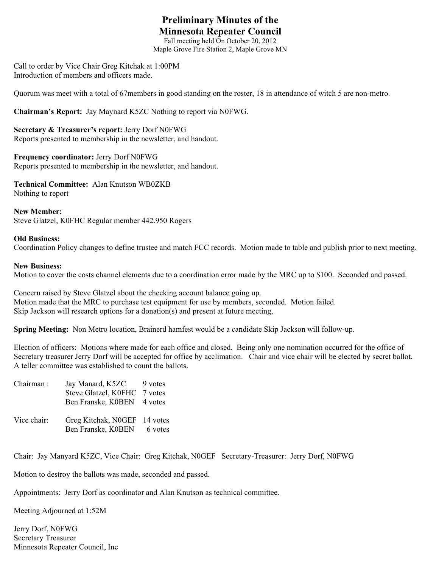## **Preliminary Minutes of the Minnesota Repeater Council**

Fall meeting held On October 20, 2012 Maple Grove Fire Station 2, Maple Grove MN

Call to order by Vice Chair Greg Kitchak at 1:00PM Introduction of members and officers made.

Quorum was meet with a total of 67members in good standing on the roster, 18 in attendance of witch 5 are non-metro.

**Chairman's Report:** Jay Maynard K5ZC Nothing to report via N0FWG.

**Secretary & Treasurer's report:** Jerry Dorf N0FWG Reports presented to membership in the newsletter, and handout.

**Frequency coordinator:** Jerry Dorf N0FWG Reports presented to membership in the newsletter, and handout.

**Technical Committee:** Alan Knutson WB0ZKB Nothing to report

**New Member:** Steve Glatzel, K0FHC Regular member 442.950 Rogers

#### **Old Business:**

Coordination Policy changes to define trustee and match FCC records. Motion made to table and publish prior to next meeting.

#### **New Business:**

Motion to cover the costs channel elements due to a coordination error made by the MRC up to \$100. Seconded and passed.

Concern raised by Steve Glatzel about the checking account balance going up. Motion made that the MRC to purchase test equipment for use by members, seconded. Motion failed. Skip Jackson will research options for a donation(s) and present at future meeting,

**Spring Meeting:** Non Metro location, Brainerd hamfest would be a candidate Skip Jackson will follow-up.

Election of officers: Motions where made for each office and closed. Being only one nomination occurred for the office of Secretary treasurer Jerry Dorf will be accepted for office by acclimation. Chair and vice chair will be elected by secret ballot. A teller committee was established to count the ballots.

| Chairman:   | Jay Manard, K5ZC     | 9 votes  |
|-------------|----------------------|----------|
|             | Steve Glatzel, K0FHC | 7 votes  |
|             | Ben Franske, K0BEN   | 4 votes  |
| Vice chair: | Greg Kitchak, N0GEF  | 14 votes |
|             | Ben Franske, K0BEN   | 6 votes  |

Chair: Jay Manyard K5ZC, Vice Chair: Greg Kitchak, N0GEF Secretary-Treasurer: Jerry Dorf, N0FWG

Motion to destroy the ballots was made, seconded and passed.

Appointments: Jerry Dorf as coordinator and Alan Knutson as technical committee.

Meeting Adjourned at 1:52M

Jerry Dorf, N0FWG Secretary Treasurer Minnesota Repeater Council, Inc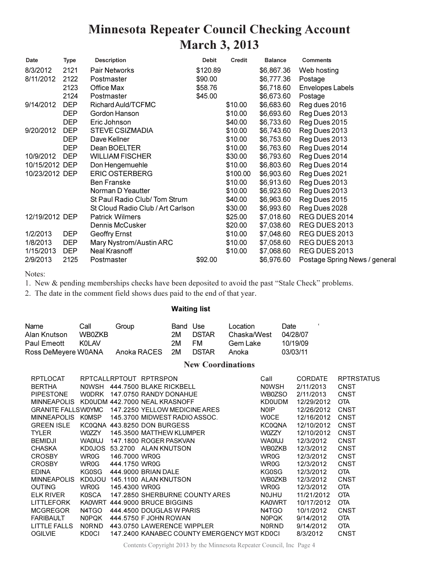# **Minnesota Repeater Council Checking Account March 3, 2013**

| Date           | Type       | <b>Description</b>                | <b>Debit</b> | <b>Credit</b> | <b>Balance</b> | <b>Comments</b>               |
|----------------|------------|-----------------------------------|--------------|---------------|----------------|-------------------------------|
| 8/3/2012       | 2121       | Pair Networks                     | \$120.89     |               | \$6,867.36     | Web hosting                   |
| 8/11/2012      | 2122       | Postmaster                        | \$90.00      |               | \$6,777.36     | Postage                       |
|                | 2123       | Office Max                        | \$58.76      |               | \$6,718.60     | <b>Envelopes Labels</b>       |
|                | 2124       | Postmaster                        | \$45.00      |               | \$6,673.60     | Postage                       |
| 9/14/2012      | <b>DEP</b> | Richard Auld/TCFMC                |              | \$10.00       | \$6,683.60     | Reg dues 2016                 |
|                | <b>DEP</b> | Gordon Hanson                     |              | \$10.00       | \$6,693.60     | Reg Dues 2013                 |
|                | <b>DEP</b> | Eric Johnson                      |              | \$40.00       | \$6,733.60     | Reg Dues 2015                 |
| 9/20/2012      | <b>DEP</b> | <b>STEVE CSIZMADIA</b>            |              | \$10.00       | \$6,743.60     | Reg Dues 2013                 |
|                | <b>DEP</b> | Dave Kellner                      |              | \$10.00       | \$6,753.60     | Reg Dues 2013                 |
|                | <b>DEP</b> | Dean BOELTER                      |              | \$10.00       | \$6,763.60     | Reg Dues 2014                 |
| 10/9/2012      | <b>DEP</b> | <b>WILLIAM FISCHER</b>            |              | \$30.00       | \$6,793.60     | Reg Dues 2014                 |
| 10/15/2012 DEP |            | Don Hengemuehle                   |              | \$10.00       | \$6,803.60     | Reg Dues 2014                 |
| 10/23/2012 DEP |            | <b>ERIC OSTERBERG</b>             |              | \$100.00      | \$6,903.60     | Reg Dues 2021                 |
|                |            | <b>Ben Franske</b>                |              | \$10.00       | \$6,913.60     | Reg Dues 2013                 |
|                |            | Norman D Yeautter                 |              | \$10.00       | \$6,923.60     | Reg Dues 2013                 |
|                |            | St Paul Radio Club/Tom Strum      |              | \$40.00       | \$6,963.60     | Reg Dues 2015                 |
|                |            | St Cloud Radio Club / Art Carlson |              | \$30.00       | \$6,993.60     | Reg Dues 2028                 |
| 12/19/2012 DEP |            | <b>Patrick Wilmers</b>            |              | \$25.00       | \$7,018.60     | REG DUES 2014                 |
|                |            | Dennis McCusker                   |              | \$20.00       | \$7,038.60     | REG DUES 2013                 |
| 1/2/2013       | <b>DEP</b> | Geoffry Ernst                     |              | \$10.00       | \$7,048.60     | REG DUES 2013                 |
| 1/8/2013       | <b>DEP</b> | Mary Nystrom/Austin ARC           |              | \$10.00       | \$7,058.60     | REG DUES 2013                 |
| 1/15/2013      | <b>DEP</b> | Neal Krasnoff                     |              | \$10.00       | \$7,068.60     | REG DUES 2013                 |
| 2/9/2013       | 2125       | Postmaster                        | \$92.00      |               | \$6,976.60     | Postage Spring News / general |

Notes:

1. New & pending memberships checks have been deposited to avoid the past "Stale Check" problems.

2. The date in the comment field shows dues paid to the end of that year.

#### **Waiting list**

| Name                | Call   | Group       | Band Use |              | Location    | Date     |  |
|---------------------|--------|-------------|----------|--------------|-------------|----------|--|
| Alan Knutson        | WB0ZKB |             | 2M       | <b>DSTAR</b> | Chaska/West | 04/28/07 |  |
| Paul Emeott         | KOL AV |             | 2M       | FM.          | Gem Lake    | 10/19/09 |  |
| Ross DeMeyere W0ANA |        | Anoka RACES | 2M       | <b>DSTAR</b> | Anoka       | 03/03/11 |  |

#### **New Coordinations**

| <b>RPTLOCAT</b>           |               |               | RPTCALLRPTOUT RPTRSPON                      | Call          | <b>CORDATE</b> | <b>RPTRSTATUS</b> |
|---------------------------|---------------|---------------|---------------------------------------------|---------------|----------------|-------------------|
| <b>BERTHA</b>             |               |               | NOWSH 444.7500 BLAKE RICKBELL               | <b>NOWSH</b>  | 2/11/2013      | CNST              |
| <b>PIPESTONE</b>          |               |               | WODRK 147,0750 RANDY DONAHUE                | WB0ZSO        | 2/11/2013      | <b>CNST</b>       |
| <b>MINNEAPOLIS</b>        |               |               | KD0UDM 442.7000 NEAL KRASNOFF               | <b>KD0UDM</b> | 12/29/2012     | <b>OTA</b>        |
| <b>GRANITE FALLSWOYMC</b> |               |               | 147.2250 YELLOW MEDICINE ARES               | <b>NOIP</b>   | 12/26/2012     | CNST              |
| <b>MINNEAPOLIS</b>        | KOMSP         |               | 145.3700 MIDWEST RADIO ASSOC.               | <b>WOCE</b>   | 12/16/2012     | <b>CNST</b>       |
| <b>GREEN ISLE</b>         |               |               | KC00NA 443.8250 DON BURGESS                 | <b>KC0QNA</b> | 12/10/2012     | CNST              |
| <b>TYLER</b>              | W0ZZY         |               | 145.3500 MATTHEW KLUMPER                    | W0ZZY         | 12/10/2012     | CNST              |
| <b>BEMIDJI</b>            | <b>WAOIUJ</b> |               | 147.1800 ROGER PASKVAN                      | <b>WAOIUJ</b> | 12/3/2012      | <b>CNST</b>       |
| <b>CHASKA</b>             |               |               | KD0JOS 53.2700 ALAN KNUTSON                 | WB0ZKB        | 12/3/2012      | <b>CNST</b>       |
| <b>CROSBY</b>             | WR0G          | 146,7000 WR0G |                                             | WR0G          | 12/3/2012      | <b>CNST</b>       |
| <b>CROSBY</b>             | WR0G          |               | 444.1750 WR0G<br>444.9000 BRIAN DALE        | <b>WR0G</b>   | 12/3/2012      | <b>CNST</b>       |
| <b>EDINA</b>              | KG0SG         |               |                                             | KG0SG         | 12/3/2012      | <b>OTA</b>        |
| <b>MINNEAPOLIS</b>        |               |               | KD0JOU 145.1100 ALAN KNUTSON                | WB0ZKB        | 12/3/2012      | <b>CNST</b>       |
| <b>OUTING</b>             | WR0G          | 145,4300 WR0G |                                             | WR0G          | 12/3/2012      | <b>OTA</b>        |
| <b>ELK RIVER</b>          | <b>K0SCA</b>  |               | 147.2850 SHERBURNE COUNTY ARES              | <b>NOJHU</b>  | 11/21/2012     | <b>OTA</b>        |
| LITTLEFORK                | <b>KA0WRT</b> |               | 444,9000 BRUCE BIGGINS                      | <b>KA0WRT</b> | 10/17/2012     | <b>OTA</b>        |
| <b>MCGREGOR</b>           | N4TGO         |               | 444,4500 DOUGLAS W PARIS                    | N4TGO         | 10/1/2012      | <b>CNST</b>       |
| <b>FARIBAULT</b>          | N0POK         |               | 444.5750 F JOHN ROWAN                       | N0POK         | 9/14/2012      | <b>OTA</b>        |
| LITTLE FALLS              | <b>NORND</b>  |               | 443.0750 LAWERENCE WIPPLER                  | <b>NORND</b>  | 9/14/2012      | <b>OTA</b>        |
| <b>OGILVIE</b>            | <b>KD0CI</b>  |               | 147.2400 KANABEC COUNTY EMERGENCY MGT KD0CL |               | 8/3/2012       | <b>CNST</b>       |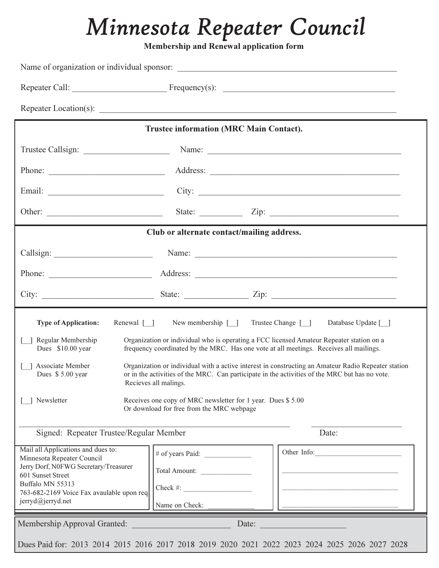# Minnesota Repeater Council

Membership and Renewal application form

|                                                                                                                                                                                                                                                                        | <b>Trustee information (MRC Main Contact).</b>                       |                                                                                                                |  |  |  |
|------------------------------------------------------------------------------------------------------------------------------------------------------------------------------------------------------------------------------------------------------------------------|----------------------------------------------------------------------|----------------------------------------------------------------------------------------------------------------|--|--|--|
|                                                                                                                                                                                                                                                                        |                                                                      |                                                                                                                |  |  |  |
| Phone:                                                                                                                                                                                                                                                                 |                                                                      |                                                                                                                |  |  |  |
|                                                                                                                                                                                                                                                                        | City:                                                                |                                                                                                                |  |  |  |
|                                                                                                                                                                                                                                                                        |                                                                      | State: $\angle$ Zip: $\angle$                                                                                  |  |  |  |
|                                                                                                                                                                                                                                                                        | Club or alternate contact/mailing address.                           |                                                                                                                |  |  |  |
|                                                                                                                                                                                                                                                                        |                                                                      | Name: 2008. 2008. 2010. 2010. 2010. 2010. 2010. 2010. 2010. 2010. 2010. 2010. 2010. 2010. 2010. 2010. 2010. 20 |  |  |  |
|                                                                                                                                                                                                                                                                        |                                                                      |                                                                                                                |  |  |  |
|                                                                                                                                                                                                                                                                        |                                                                      |                                                                                                                |  |  |  |
| Renewal [ ]<br><b>Type of Application:</b>                                                                                                                                                                                                                             | New membership $\lceil \quad \rceil$                                 | Trustee Change [ ]<br>Database Update [ ]                                                                      |  |  |  |
| Organization or individual who is operating a FCC licensed Amateur Repeater station on a<br>Regular Membership<br>frequency coordinated by the MRC. Has one vote at all meetings. Receives all mailings.<br>Dues \$10.00 year                                          |                                                                      |                                                                                                                |  |  |  |
| Associate Member<br>Organization or individual with a active interest in constructing an Amateur Radio Repeater station<br>or in the activities of the MRC. Can participate in the activities of the MRC but has no vote.<br>Dues \$5.00 year<br>Recieves all malings. |                                                                      |                                                                                                                |  |  |  |
| Receives one copy of MRC newsletter for 1 year. Dues \$5.00<br>Newsletter<br>Or download for free from the MRC webpage                                                                                                                                                 |                                                                      |                                                                                                                |  |  |  |
| Signed: Repeater Trustee/Regular Member                                                                                                                                                                                                                                |                                                                      | Date:                                                                                                          |  |  |  |
| Mail all Applications and dues to:<br>Minnesota Repeater Council<br>Jerry Dorf, N0FWG Secretary/Treasurer<br>601 Sunset Street<br>Buffalo MN 55313<br>763-682-2169 Voice Fax avaulable upon req<br>jerryd@jerryd.net                                                   | # of years Paid:<br>Total Amount:<br>$Check \#:\n$<br>Name on Check: | Other Info:                                                                                                    |  |  |  |
| Membership Approval Granted:                                                                                                                                                                                                                                           | Date:                                                                | Dues Paid for: 2013 2014 2015 2016 2017 2018 2019 2020 2021 2022 2023 2024 2025 2026 2027 2028                 |  |  |  |